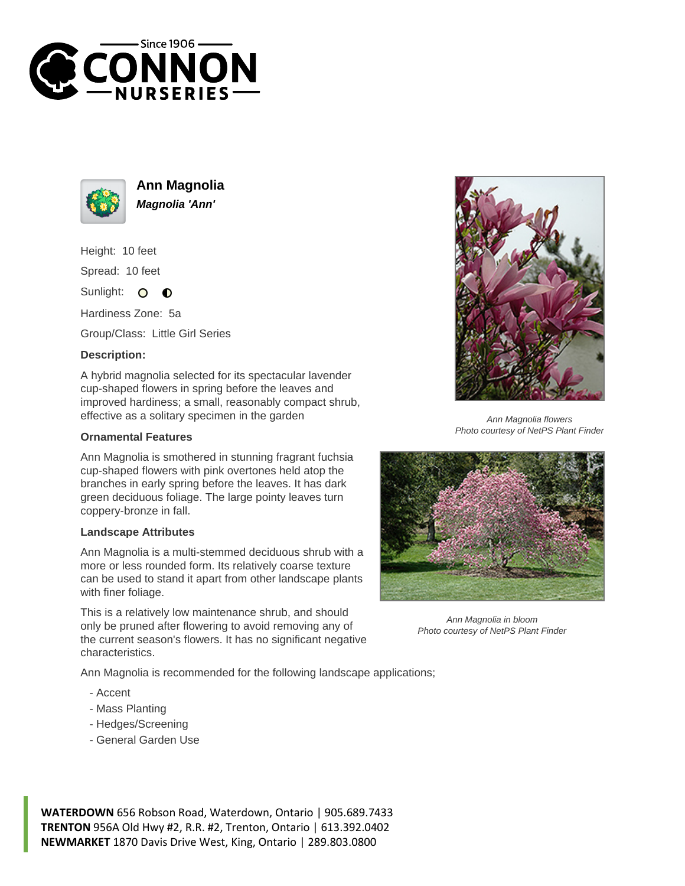



**Ann Magnolia Magnolia 'Ann'**

Height: 10 feet Spread: 10 feet

Sunlight:  $\Omega$  $\bullet$ 

Hardiness Zone: 5a

Group/Class: Little Girl Series

## **Description:**

A hybrid magnolia selected for its spectacular lavender cup-shaped flowers in spring before the leaves and improved hardiness; a small, reasonably compact shrub, effective as a solitary specimen in the garden

## **Ornamental Features**

Ann Magnolia is smothered in stunning fragrant fuchsia cup-shaped flowers with pink overtones held atop the branches in early spring before the leaves. It has dark green deciduous foliage. The large pointy leaves turn coppery-bronze in fall.

## **Landscape Attributes**

Ann Magnolia is a multi-stemmed deciduous shrub with a more or less rounded form. Its relatively coarse texture can be used to stand it apart from other landscape plants with finer foliage.

This is a relatively low maintenance shrub, and should only be pruned after flowering to avoid removing any of the current season's flowers. It has no significant negative characteristics.

Ann Magnolia is recommended for the following landscape applications;

- Accent
- Mass Planting
- Hedges/Screening
- General Garden Use





Ann Magnolia in bloom Photo courtesy of NetPS Plant Finder

**WATERDOWN** 656 Robson Road, Waterdown, Ontario | 905.689.7433 **TRENTON** 956A Old Hwy #2, R.R. #2, Trenton, Ontario | 613.392.0402 **NEWMARKET** 1870 Davis Drive West, King, Ontario | 289.803.0800